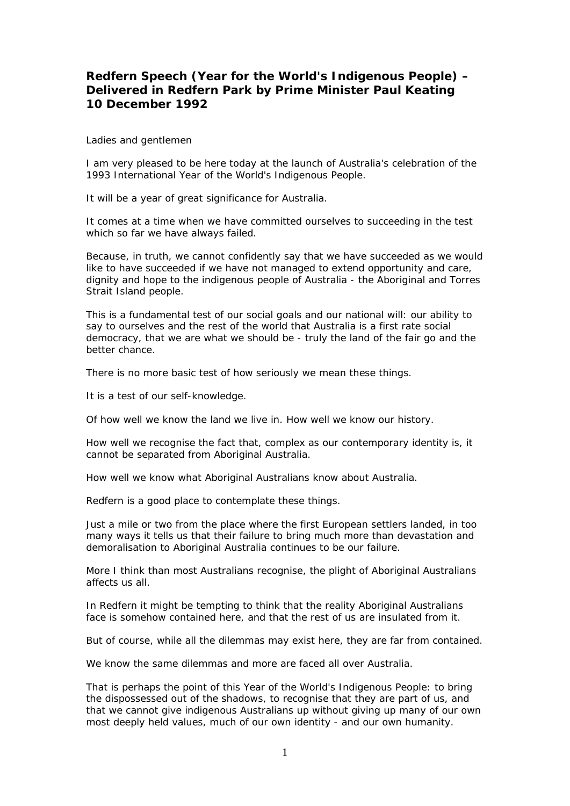## **Redfern Speech (Year for the World's Indigenous People) – Delivered in Redfern Park by Prime Minister Paul Keating 10 December 1992**

Ladies and gentlemen

I am very pleased to be here today at the launch of Australia's celebration of the 1993 International Year of the World's Indigenous People.

It will be a year of great significance for Australia.

It comes at a time when we have committed ourselves to succeeding in the test which so far we have always failed.

Because, in truth, we cannot confidently say that we have succeeded as we would like to have succeeded if we have not managed to extend opportunity and care, dignity and hope to the indigenous people of Australia - the Aboriginal and Torres Strait Island people.

This is a fundamental test of our social goals and our national will: our ability to say to ourselves and the rest of the world that Australia is a first rate social democracy, that we are what we should be - truly the land of the fair go and the better chance.

There is no more basic test of how seriously we mean these things.

It is a test of our self-knowledge.

Of how well we know the land we live in. How well we know our history.

How well we recognise the fact that, complex as our contemporary identity is, it cannot be separated from Aboriginal Australia.

How well we know what Aboriginal Australians know about Australia.

Redfern is a good place to contemplate these things.

Just a mile or two from the place where the first European settlers landed, in too many ways it tells us that their failure to bring much more than devastation and demoralisation to Aboriginal Australia continues to be our failure.

More I think than most Australians recognise, the plight of Aboriginal Australians affects us all.

In Redfern it might be tempting to think that the reality Aboriginal Australians face is somehow contained here, and that the rest of us are insulated from it.

But of course, while all the dilemmas may exist here, they are far from contained.

We know the same dilemmas and more are faced all over Australia.

That is perhaps the point of this Year of the World's Indigenous People: to bring the dispossessed out of the shadows, to recognise that they are part of us, and that we cannot give indigenous Australians up without giving up many of our own most deeply held values, much of our own identity - and our own humanity.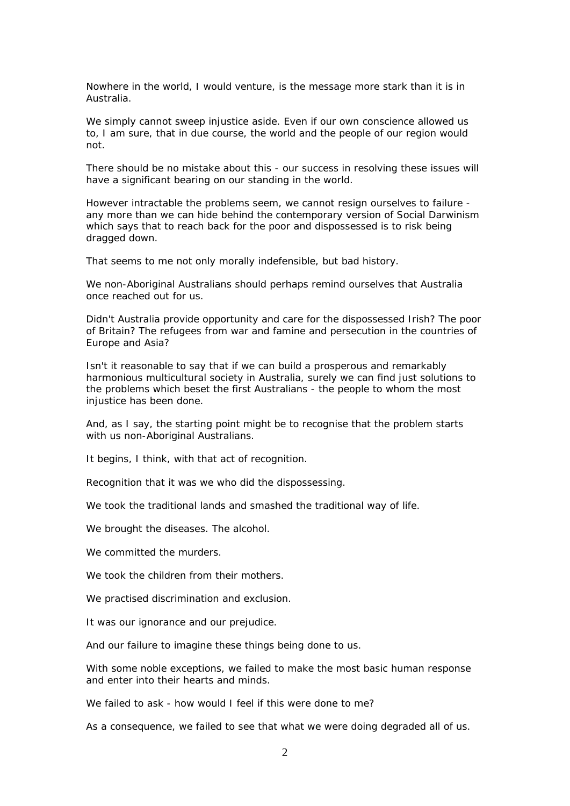Nowhere in the world, I would venture, is the message more stark than it is in Australia.

We simply cannot sweep injustice aside. Even if our own conscience allowed us to, I am sure, that in due course, the world and the people of our region would not.

There should be no mistake about this - our success in resolving these issues will have a significant bearing on our standing in the world.

However intractable the problems seem, we cannot resign ourselves to failure any more than we can hide behind the contemporary version of Social Darwinism which says that to reach back for the poor and dispossessed is to risk being dragged down.

That seems to me not only morally indefensible, but bad history.

We non-Aboriginal Australians should perhaps remind ourselves that Australia once reached out for us.

Didn't Australia provide opportunity and care for the dispossessed Irish? The poor of Britain? The refugees from war and famine and persecution in the countries of Europe and Asia?

Isn't it reasonable to say that if we can build a prosperous and remarkably harmonious multicultural society in Australia, surely we can find just solutions to the problems which beset the first Australians - the people to whom the most injustice has been done.

And, as I say, the starting point might be to recognise that the problem starts with us non-Aboriginal Australians.

It begins, I think, with that act of recognition.

Recognition that it was we who did the dispossessing.

We took the traditional lands and smashed the traditional way of life.

We brought the diseases. The alcohol.

We committed the murders.

We took the children from their mothers.

We practised discrimination and exclusion.

It was our ignorance and our prejudice.

And our failure to imagine these things being done to us.

With some noble exceptions, we failed to make the most basic human response and enter into their hearts and minds.

We failed to ask - how would I feel if this were done to me?

As a consequence, we failed to see that what we were doing degraded all of us.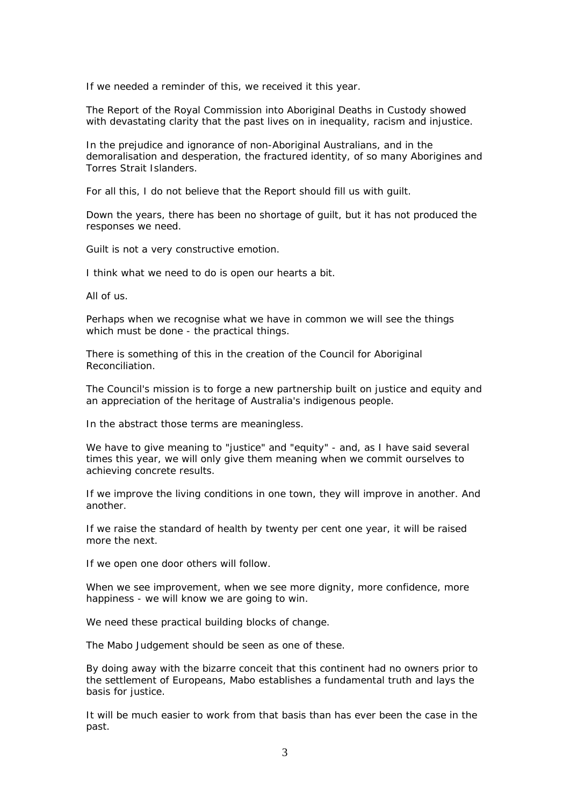If we needed a reminder of this, we received it this year.

The Report of the Royal Commission into Aboriginal Deaths in Custody showed with devastating clarity that the past lives on in inequality, racism and injustice.

In the prejudice and ignorance of non-Aboriginal Australians, and in the demoralisation and desperation, the fractured identity, of so many Aborigines and Torres Strait Islanders.

For all this, I do not believe that the Report should fill us with guilt.

Down the years, there has been no shortage of guilt, but it has not produced the responses we need.

Guilt is not a very constructive emotion.

I think what we need to do is open our hearts a bit.

All of us.

Perhaps when we recognise what we have in common we will see the things which must be done - the practical things.

There is something of this in the creation of the Council for Aboriginal Reconciliation.

The Council's mission is to forge a new partnership built on justice and equity and an appreciation of the heritage of Australia's indigenous people.

In the abstract those terms are meaningless.

We have to give meaning to "justice" and "equity" - and, as I have said several times this year, we will only give them meaning when we commit ourselves to achieving concrete results.

If we improve the living conditions in one town, they will improve in another. And another.

If we raise the standard of health by twenty per cent one year, it will be raised more the next.

If we open one door others will follow.

When we see improvement, when we see more dignity, more confidence, more happiness - we will know we are going to win.

We need these practical building blocks of change.

The Mabo Judgement should be seen as one of these.

By doing away with the bizarre conceit that this continent had no owners prior to the settlement of Europeans, Mabo establishes a fundamental truth and lays the basis for justice.

It will be much easier to work from that basis than has ever been the case in the past.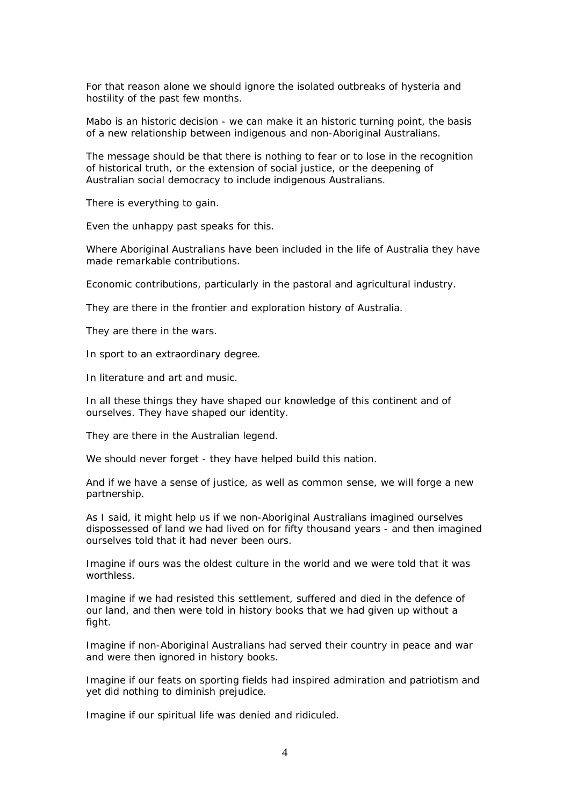For that reason alone we should ignore the isolated outbreaks of hysteria and hostility of the past few months.

Mabo is an historic decision - we can make it an historic turning point, the basis of a new relationship between indigenous and non-Aboriginal Australians.

The message should be that there is nothing to fear or to lose in the recognition of historical truth, or the extension of social justice, or the deepening of Australian social democracy to include indigenous Australians.

There is everything to gain.

Even the unhappy past speaks for this.

Where Aboriginal Australians have been included in the life of Australia they have made remarkable contributions.

Economic contributions, particularly in the pastoral and agricultural industry.

They are there in the frontier and exploration history of Australia.

They are there in the wars.

In sport to an extraordinary degree.

In literature and art and music.

In all these things they have shaped our knowledge of this continent and of ourselves. They have shaped our identity.

They are there in the Australian legend.

We should never forget - they have helped build this nation.

And if we have a sense of justice, as well as common sense, we will forge a new partnership.

As I said, it might help us if we non-Aboriginal Australians imagined ourselves dispossessed of land we had lived on for fifty thousand years - and then imagined ourselves told that it had never been ours.

Imagine if ours was the oldest culture in the world and we were told that it was worthless.

Imagine if we had resisted this settlement, suffered and died in the defence of our land, and then were told in history books that we had given up without a fight.

Imagine if non-Aboriginal Australians had served their country in peace and war and were then ignored in history books.

Imagine if our feats on sporting fields had inspired admiration and patriotism and yet did nothing to diminish prejudice.

Imagine if our spiritual life was denied and ridiculed.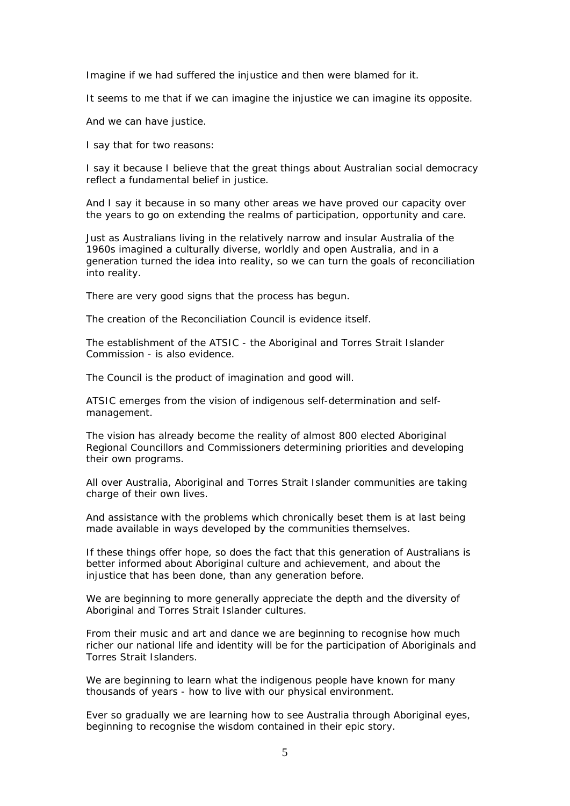Imagine if we had suffered the injustice and then were blamed for it.

It seems to me that if we can imagine the injustice we can imagine its opposite.

And we can have justice.

I say that for two reasons:

I say it because I believe that the great things about Australian social democracy reflect a fundamental belief in justice.

And I say it because in so many other areas we have proved our capacity over the years to go on extending the realms of participation, opportunity and care.

Just as Australians living in the relatively narrow and insular Australia of the 1960s imagined a culturally diverse, worldly and open Australia, and in a generation turned the idea into reality, so we can turn the goals of reconciliation into reality.

There are very good signs that the process has begun.

The creation of the Reconciliation Council is evidence itself.

The establishment of the ATSIC - the Aboriginal and Torres Strait Islander Commission - is also evidence.

The Council is the product of imagination and good will.

ATSIC emerges from the vision of indigenous self-determination and selfmanagement.

The vision has already become the reality of almost 800 elected Aboriginal Regional Councillors and Commissioners determining priorities and developing their own programs.

All over Australia, Aboriginal and Torres Strait Islander communities are taking charge of their own lives.

And assistance with the problems which chronically beset them is at last being made available in ways developed by the communities themselves.

If these things offer hope, so does the fact that this generation of Australians is better informed about Aboriginal culture and achievement, and about the injustice that has been done, than any generation before.

We are beginning to more generally appreciate the depth and the diversity of Aboriginal and Torres Strait Islander cultures.

From their music and art and dance we are beginning to recognise how much richer our national life and identity will be for the participation of Aboriginals and Torres Strait Islanders.

We are beginning to learn what the indigenous people have known for many thousands of years - how to live with our physical environment.

Ever so gradually we are learning how to see Australia through Aboriginal eyes, beginning to recognise the wisdom contained in their epic story.